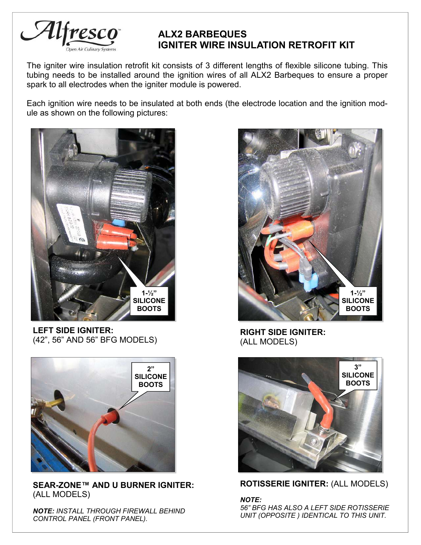

## **ALX2 BARBEQUES IGNITER WIRE INSULATION RETROFIT KIT**

The igniter wire insulation retrofit kit consists of 3 different lengths of flexible silicone tubing. This tubing needs to be installed around the ignition wires of all ALX2 Barbeques to ensure a proper spark to all electrodes when the igniter module is powered.

Each ignition wire needs to be insulated at both ends (the electrode location and the ignition module as shown on the following pictures:



**LEFT SIDE IGNITER:**  (42", 56" AND 56" BFG MODELS)



**SEAR-ZONE™ AND U BURNER IGNITER:**  (ALL MODELS)

*NOTE: INSTALL THROUGH FIREWALL BEHIND CONTROL PANEL (FRONT PANEL).* 



**RIGHT SIDE IGNITER:**  (ALL MODELS)



**ROTISSERIE IGNITER:** (ALL MODELS)

*NOTE: 56" BFG HAS ALSO A LEFT SIDE ROTISSERIE UNIT (OPPOSITE ) IDENTICAL TO THIS UNIT.*